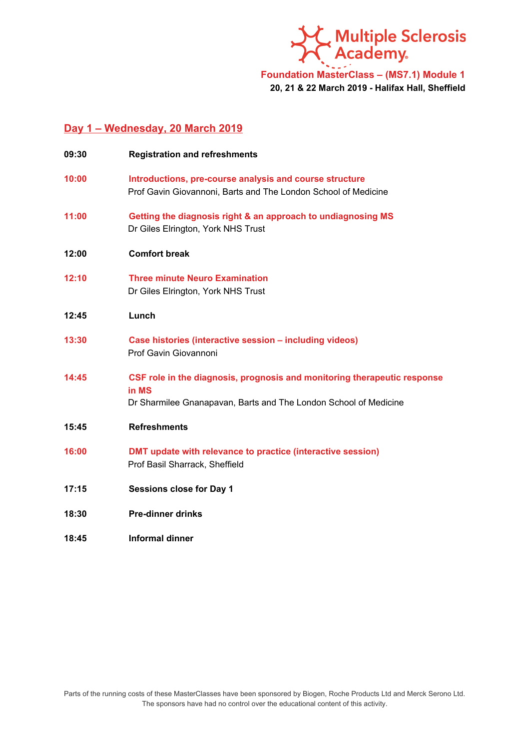

**Foundation MasterClass – (MS7.1) Module 1 20, 21 & 22 March 2019 - Halifax Hall, Sheffield**

### **Day 1 – Wednesday, 20 March 2019**

| 09:30 | <b>Registration and refreshments</b>                                                                                                                  |
|-------|-------------------------------------------------------------------------------------------------------------------------------------------------------|
| 10:00 | Introductions, pre-course analysis and course structure<br>Prof Gavin Giovannoni, Barts and The London School of Medicine                             |
| 11:00 | Getting the diagnosis right & an approach to undiagnosing MS<br>Dr Giles Elrington, York NHS Trust                                                    |
| 12:00 | <b>Comfort break</b>                                                                                                                                  |
| 12:10 | <b>Three minute Neuro Examination</b><br>Dr Giles Elrington, York NHS Trust                                                                           |
| 12:45 | Lunch                                                                                                                                                 |
| 13:30 | Case histories (interactive session - including videos)<br>Prof Gavin Giovannoni                                                                      |
| 14:45 | CSF role in the diagnosis, prognosis and monitoring therapeutic response<br>in MS<br>Dr Sharmilee Gnanapavan, Barts and The London School of Medicine |
| 15:45 | <b>Refreshments</b>                                                                                                                                   |
| 16:00 | DMT update with relevance to practice (interactive session)<br>Prof Basil Sharrack, Sheffield                                                         |
| 17:15 | <b>Sessions close for Day 1</b>                                                                                                                       |
| 18:30 | <b>Pre-dinner drinks</b>                                                                                                                              |
| 18:45 | <b>Informal dinner</b>                                                                                                                                |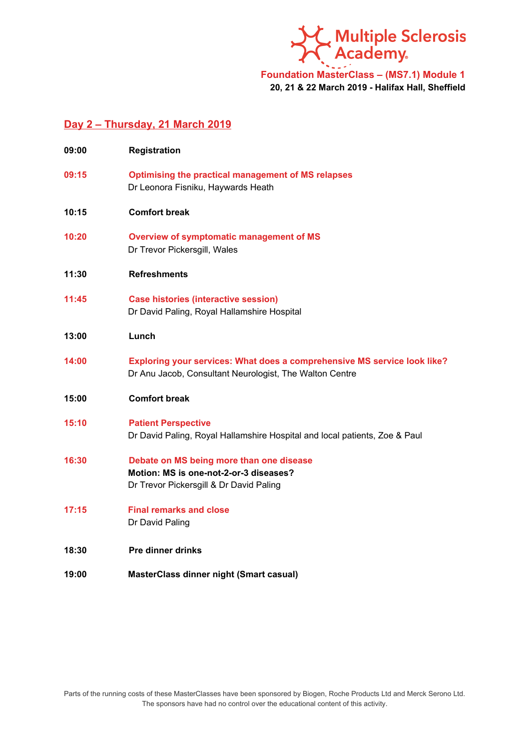SC Multiple Sclerosis<br>SC Academy.

# **Foundation MasterClass – (MS7.1) Module 1 20, 21 & 22 March 2019 - Halifax Hall, Sheffield**

### **Day 2 – Thursday, 21 March 2019**

| 09:00 | <b>Registration</b>                                                                                                                 |
|-------|-------------------------------------------------------------------------------------------------------------------------------------|
| 09:15 | <b>Optimising the practical management of MS relapses</b><br>Dr Leonora Fisniku, Haywards Heath                                     |
| 10:15 | <b>Comfort break</b>                                                                                                                |
| 10:20 | Overview of symptomatic management of MS<br>Dr Trevor Pickersgill, Wales                                                            |
| 11:30 | <b>Refreshments</b>                                                                                                                 |
| 11:45 | <b>Case histories (interactive session)</b><br>Dr David Paling, Royal Hallamshire Hospital                                          |
| 13:00 | Lunch                                                                                                                               |
| 14:00 | Exploring your services: What does a comprehensive MS service look like?<br>Dr Anu Jacob, Consultant Neurologist, The Walton Centre |
| 15:00 | <b>Comfort break</b>                                                                                                                |
| 15:10 | <b>Patient Perspective</b><br>Dr David Paling, Royal Hallamshire Hospital and local patients, Zoe & Paul                            |
| 16:30 | Debate on MS being more than one disease<br>Motion: MS is one-not-2-or-3 diseases?<br>Dr Trevor Pickersgill & Dr David Paling       |
| 17:15 | <b>Final remarks and close</b><br>Dr David Paling                                                                                   |
| 18:30 | <b>Pre dinner drinks</b>                                                                                                            |
| 19:00 | <b>MasterClass dinner night (Smart casual)</b>                                                                                      |